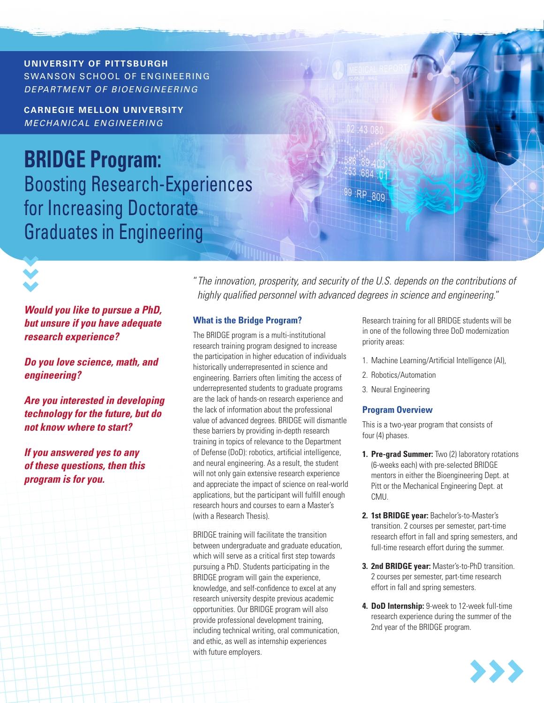#### UNIVERSITY OF PITTSBURGH **UNIVERSITY OF PITTSBURGH** SWANSON SCHOOL OF ENGINEERING  $\rightarrow$  (10 MeV) with  $\sim$  10 MeV)  $\overline{MS}$  and  $\overline{MS}$  and  $\overline{MS}$  and  $\overline{MS}$  and  $\overline{MS}$  and  $\overline{MS}$  and  $\overline{MS}$  and  $\overline{MS}$  and  $\overline{MS}$  and  $\overline{MS}$  and  $\overline{MS}$  and  $\overline{MS}$  and  $\overline{MS}$  and  $\overline{MS}$  and  $\overline{MS}$  and  $\overline{MS}$  and  $\overline{MS}$  and *DEPARTMENT OF BIOENGINEERING*

**CARNEGIE MELLON UNIVERSITY** *MECHANICAL ENGINEERING*

**BRIDGE Program:**  Boosting Research-Experiences for Increasing Doctorate Graduates in Engineering

:RP\_809

*Would you like to pursue a PhD, but unsure if you have adequate research experience?* 

*Do you love science, math, and engineering?* 

*Are you interested in developing technology for the future, but do not know where to start?* 

*If you answered yes to any of these questions, then this program is for you.*

"*The innovation, prosperity, and security of the U.S. depends on the contributions of highly qualified personnel with advanced degrees in science and engineering.*"

# **What is the Bridge Program?**

The BRIDGE program is a multi-institutional research training program designed to increase the participation in higher education of individuals historically underrepresented in science and engineering. Barriers often limiting the access of underrepresented students to graduate programs are the lack of hands-on research experience and the lack of information about the professional value of advanced degrees. BRIDGE will dismantle these barriers by providing in-depth research training in topics of relevance to the Department of Defense (DoD): robotics, artificial intelligence, and neural engineering. As a result, the student will not only gain extensive research experience and appreciate the impact of science on real-world applications, but the participant will fulfill enough research hours and courses to earn a Master's (with a Research Thesis).

BRIDGE training will facilitate the transition between undergraduate and graduate education, which will serve as a critical first step towards pursuing a PhD. Students participating in the BRIDGE program will gain the experience, knowledge, and self-confidence to excel at any research university despite previous academic opportunities. Our BRIDGE program will also provide professional development training, including technical writing, oral communication, and ethic, as well as internship experiences with future employers.

Research training for all BRIDGE students will be in one of the following three DoD modernization priority areas:

- 1. Machine Learning/Artificial Intelligence (AI),
- 2. Robotics/Automation
- 3. Neural Engineering

# **Program Overview**

This is a two-year program that consists of four (4) phases.

- **1. Pre-grad Summer:** Two (2) laboratory rotations (6-weeks each) with pre-selected BRIDGE mentors in either the Bioengineering Dept. at Pitt or the Mechanical Engineering Dept. at CMU.
- **2. 1st BRIDGE year:** Bachelor's-to-Master's transition. 2 courses per semester, part-time research effort in fall and spring semesters, and full-time research effort during the summer.
- **3. 2nd BRIDGE year:** Master's-to-PhD transition. 2 courses per semester, part-time research effort in fall and spring semesters.
- **4. DoD Internship:** 9-week to 12-week full-time research experience during the summer of the 2nd year of the BRIDGE program.